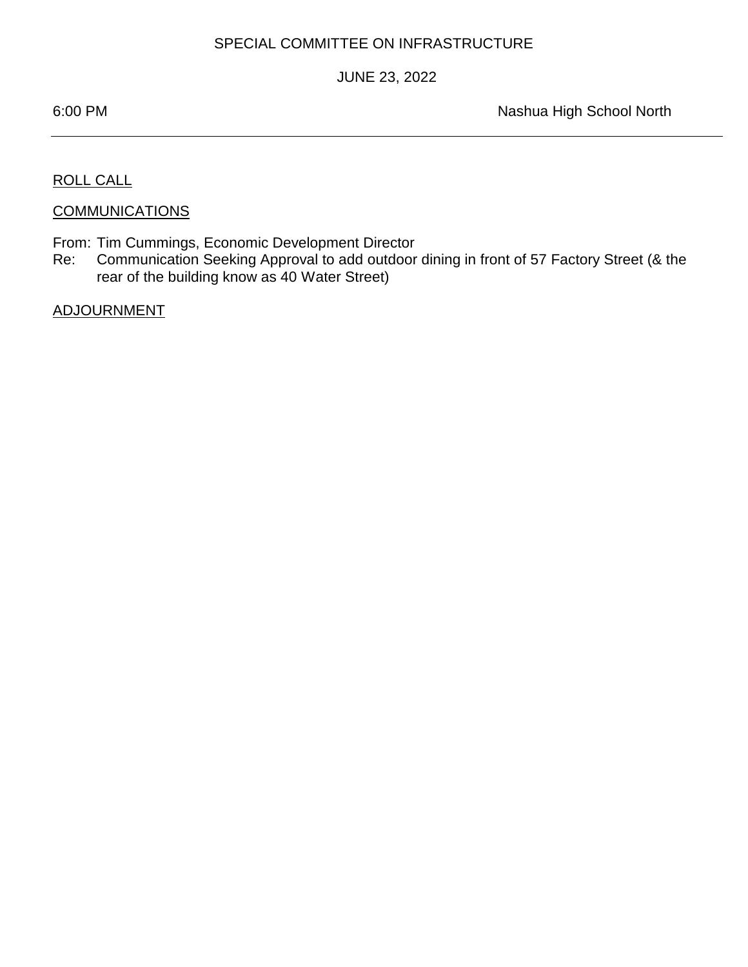## SPECIAL COMMITTEE ON INFRASTRUCTURE

## JUNE 23, 2022

÷

6:00 PM Nashua High School North

ROLL CALL

**COMMUNICATIONS** 

From: Tim Cummings, Economic Development Director

Re: Communication Seeking Approval to add outdoor dining in front of 57 Factory Street (& the rear of the building know as 40 Water Street)

ADJOURNMENT